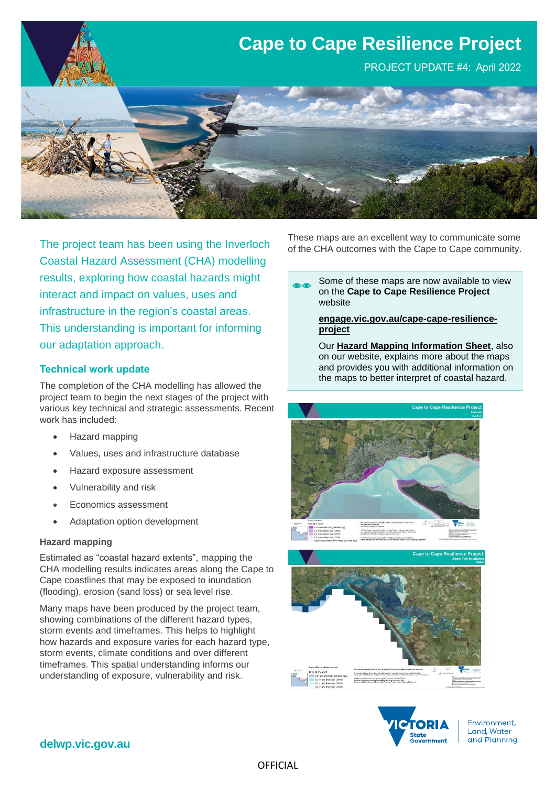

The project team has been using the Inverloch Coastal Hazard Assessment (CHA) modelling results, exploring how coastal hazards might interact and impact on values, uses and infrastructure in the region's coastal areas. This understanding is important for informing our adaptation approach.

### **Technical work update**

The completion of the CHA modelling has allowed the project team to begin the next stages of the project with various key technical and strategic assessments. Recent work has included:

- Hazard mapping
- Values, uses and infrastructure database
- Hazard exposure assessment
- Vulnerability and risk
- Economics assessment
- Adaptation option development

#### **Hazard mapping**

Estimated as "coastal hazard extents", mapping the CHA modelling results indicates areas along the Cape to Cape coastlines that may be exposed to inundation (flooding), erosion (sand loss) or sea level rise.

Many maps have been produced by the project team, showing combinations of the different hazard types, storm events and timeframes. This helps to highlight how hazards and exposure varies for each hazard type, storm events, climate conditions and over different timeframes. This spatial understanding informs our understanding of exposure, vulnerability and risk.

These maps are an excellent way to communicate some of the CHA outcomes with the Cape to Cape community.

Some of these maps are now available to view on the **Cape to Cape Resilience Project**  website

#### **[engage.vic.gov.au/cape-cape-resilience](https://engage.vic.gov.au/cape-cape-resilience-project)[project](https://engage.vic.gov.au/cape-cape-resilience-project)**

Our **Hazard Mapping Information Sheet**, also on our website, explains more about the maps and provides you with additional information on the maps to better interpret of coastal hazard.







Environment, Land, Water and Planning

### **delwp.vic.gov.au**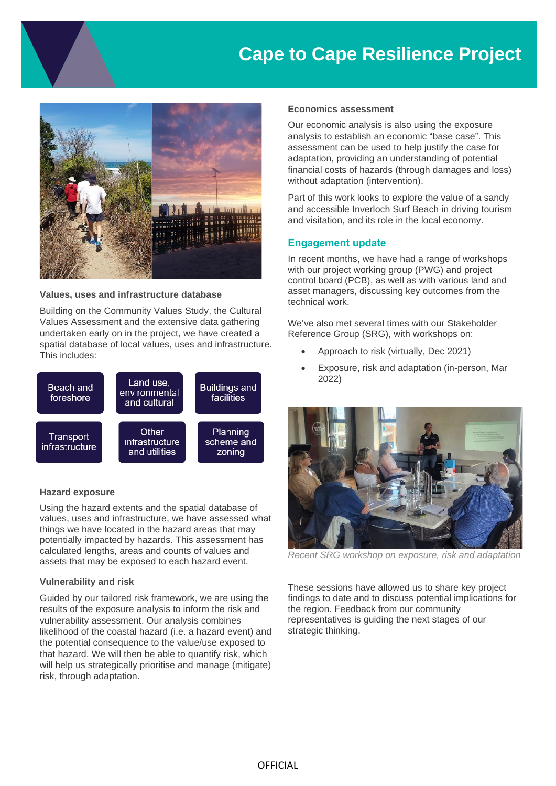## **Cape to Cape Resilience Project**



**Values, uses and infrastructure database**

Building on the Community Values Study, the Cultural Values Assessment and the extensive data gathering undertaken early on in the project, we have created a spatial database of local values, uses and infrastructure. This includes:



#### **Hazard exposure**

Using the hazard extents and the spatial database of values, uses and infrastructure, we have assessed what things we have located in the hazard areas that may potentially impacted by hazards. This assessment has calculated lengths, areas and counts of values and assets that may be exposed to each hazard event.

#### **Vulnerability and risk**

Guided by our tailored risk framework, we are using the results of the exposure analysis to inform the risk and vulnerability assessment. Our analysis combines likelihood of the coastal hazard (i.e. a hazard event) and the potential consequence to the value/use exposed to that hazard. We will then be able to quantify risk, which will help us strategically prioritise and manage (mitigate) risk, through adaptation.

#### **Economics assessment**

Our economic analysis is also using the exposure analysis to establish an economic "base case". This assessment can be used to help justify the case for adaptation, providing an understanding of potential financial costs of hazards (through damages and loss) without adaptation (intervention).

Part of this work looks to explore the value of a sandy and accessible Inverloch Surf Beach in driving tourism and visitation, and its role in the local economy.

#### **Engagement update**

In recent months, we have had a range of workshops with our project working group (PWG) and project control board (PCB), as well as with various land and asset managers, discussing key outcomes from the technical work.

We've also met several times with our Stakeholder Reference Group (SRG), with workshops on:

- Approach to risk (virtually, Dec 2021)
- Exposure, risk and adaptation (in-person, Mar 2022)



*Recent SRG workshop on exposure, risk and adaptation*

These sessions have allowed us to share key project findings to date and to discuss potential implications for the region. Feedback from our community representatives is guiding the next stages of our strategic thinking.